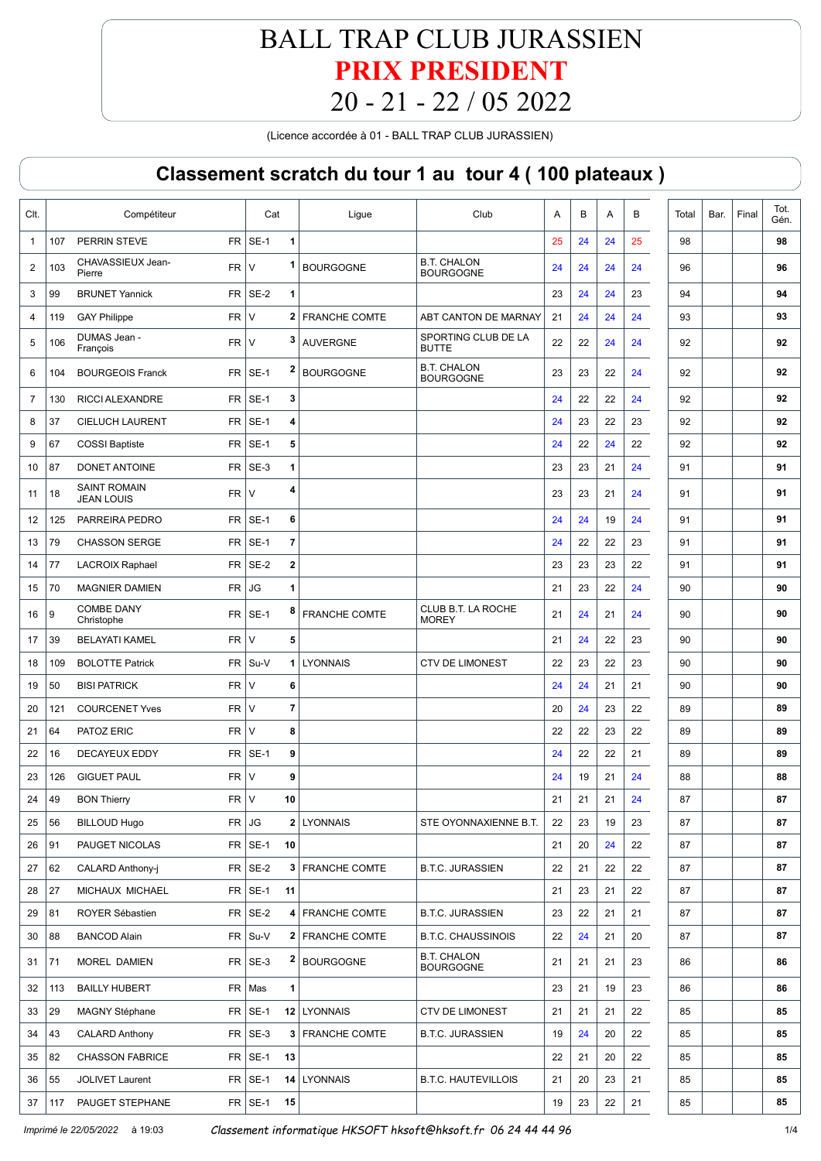(Licence accordée à 01 - BALL TRAP CLUB JURASSIEN)

| $FR$ SE-1<br>PERRIN STEVE<br>1<br>24<br>25<br>98<br>$\mathbf{1}$<br>107<br>25<br>24<br><b>B.T. CHALON</b><br>CHAVASSIEUX Jean-<br>1<br><b>FR</b><br><b>BOURGOGNE</b><br>2<br>$\vee$<br>103<br>24<br>24<br>24<br>24<br>96<br><b>BOURGOGNE</b><br>Pierre | 98<br>96 |
|--------------------------------------------------------------------------------------------------------------------------------------------------------------------------------------------------------------------------------------------------------|----------|
|                                                                                                                                                                                                                                                        |          |
|                                                                                                                                                                                                                                                        |          |
| FR.<br>SE-2<br><b>BRUNET Yannick</b><br>24<br>24<br>23<br>3<br>99<br>1<br>23<br>94                                                                                                                                                                     | 94       |
| <b>FR</b><br>$\vee$<br>2 FRANCHE COMTE<br>ABT CANTON DE MARNAY<br>24<br>24<br>24<br>93<br>4<br>119<br><b>GAY Philippe</b><br>21                                                                                                                        | 93       |
| SPORTING CLUB DE LA<br>DUMAS Jean -<br>3<br><b>FR</b><br>5<br>$\vee$<br><b>AUVERGNE</b><br>22<br>22<br>24<br>24<br>92<br>106<br>François<br><b>BUTTE</b>                                                                                               | 92       |
| <b>B.T. CHALON</b><br>2<br><b>BOURGEOIS Franck</b><br><b>FR</b><br>SE-1<br><b>BOURGOGNE</b><br>6<br>23<br>23<br>22<br>24<br>92<br>104<br><b>BOURGOGNE</b>                                                                                              | 92       |
| FR<br>SE-1<br>RICCI ALEXANDRE<br>3<br>22<br>22<br>24<br>92<br>7<br>130<br>24                                                                                                                                                                           | 92       |
| <b>FR</b><br>SE-1<br>4<br>8<br><b>CIELUCH LAURENT</b><br>22<br>23<br>92<br>37<br>24<br>23                                                                                                                                                              | 92       |
| FR.<br>SE-1<br>5<br>22<br>22<br>92<br>9<br>67<br><b>COSSI Baptiste</b><br>24<br>24                                                                                                                                                                     | 92       |
| <b>FR</b><br>SE-3<br>1<br>87<br><b>DONET ANTOINE</b><br>24<br>23<br>23<br>21<br>91<br>10                                                                                                                                                               | 91       |
| <b>SAINT ROMAIN</b><br>4<br><b>FR</b><br>$\vee$<br>23<br>24<br>11<br>18<br>23<br>21<br>91<br><b>JEAN LOUIS</b>                                                                                                                                         | 91       |
| <b>FR</b><br>SE-1<br>24<br>PARREIRA PEDRO<br>6<br>19<br>91<br>12<br>125<br>24<br>24                                                                                                                                                                    | 91       |
| <b>FR</b><br>79<br><b>CHASSON SERGE</b><br>SE-1<br>7<br>22<br>13<br>24<br>22<br>23<br>91                                                                                                                                                               | 91       |
| FR.<br>SE-2<br>$\bf{2}$<br>77<br>23<br>23<br>22<br>91<br>14<br><b>LACROIX Raphael</b><br>23                                                                                                                                                            | 91       |
| 70<br><b>MAGNIER DAMIEN</b><br><b>FR</b><br>JG<br>1<br>22<br>24<br>15<br>21<br>23<br>90                                                                                                                                                                | 90       |
| <b>COMBE DANY</b><br>CLUB B.T. LA ROCHE<br>8<br><b>FR</b><br>$SE-1$<br><b>FRANCHE COMTE</b><br>9<br>21<br>24<br>16<br>24<br>21<br>90<br><b>MOREY</b><br>Christophe                                                                                     | 90       |
| <b>FR</b><br>$\vee$<br>5<br>39<br><b>BELAYATI KAMEL</b><br>21<br>24<br>22<br>23<br>90<br>17                                                                                                                                                            | 90       |
| 22<br><b>BOLOTTE Patrick</b><br>FR.<br>Su-V<br>1 LYONNAIS<br><b>CTV DE LIMONEST</b><br>22<br>23<br>23<br>90<br>18<br>109                                                                                                                               | 90       |
| <b>FR</b><br>$\vee$<br>6<br>50<br><b>BISI PATRICK</b><br>24<br>24<br>21<br>21<br>90<br>19                                                                                                                                                              | 90       |
| FR.<br>$\vee$<br>7<br><b>COURCENET Yves</b><br>24<br>23<br>22<br>89<br>20<br>121<br>20                                                                                                                                                                 | 89       |
| <b>FR</b><br>$\vee$<br>8<br>64<br>PATOZ ERIC<br>22<br>22<br>23<br>22<br>89<br>21                                                                                                                                                                       | 89       |
| SE-1<br>9<br>22<br>16<br><b>DECAYEUX EDDY</b><br>FR  <br>24<br>22<br>21<br>89<br>22                                                                                                                                                                    | 89       |
| <b>FR</b><br>$\vee$<br>9<br><b>GIGUET PAUL</b><br>19<br>21<br>24<br>88<br>23<br>126<br>24                                                                                                                                                              | 88       |
| 49<br>FR<br>$\vee$<br>10<br>21<br>21<br>21<br>24<br>87<br>24<br><b>BON Thierry</b>                                                                                                                                                                     | 87       |
| JG<br><b>BILLOUD Hugo</b><br>FR<br>2 LYONNAIS<br>STE OYONNAXIENNE B.T.<br>19<br>23<br>87<br>25<br>56<br>22<br>23                                                                                                                                       | 87       |
| 91<br>$FR$ SE-1<br>22<br>PAUGET NICOLAS<br>10<br>21<br>20<br>24<br>87<br>26                                                                                                                                                                            | 87       |
| $FR$ SE-2<br>62<br>CALARD Anthony-j<br>3 FRANCHE COMTE<br><b>B.T.C. JURASSIEN</b><br>22<br>22<br>87<br>27<br>22<br>21                                                                                                                                  | 87       |
| $FR$ SE-1<br>27<br>MICHAUX MICHAEL<br>21<br>23<br>21<br>22<br>87<br>28<br>11                                                                                                                                                                           | 87       |
| $FR$ SE-2<br>81<br>ROYER Sébastien<br>4 FRANCHE COMTE<br><b>B.T.C. JURASSIEN</b><br>21<br>21<br>87<br>29<br>23<br>22                                                                                                                                   | 87       |
| $FR$ Su-V<br>88<br><b>BANCOD Alain</b><br>2 FRANCHE COMTE<br><b>B.T.C. CHAUSSINOIS</b><br>22<br>24<br>21<br>20<br>30<br>87                                                                                                                             | 87       |
| <b>B.T. CHALON</b><br>2<br>$FR$ SE-3<br><b>BOURGOGNE</b><br>71<br>MOREL DAMIEN<br>23<br>31<br>21<br>21<br>21<br>86<br><b>BOURGOGNE</b>                                                                                                                 | 86       |
| <b>BAILLY HUBERT</b><br>FR Mas<br>1<br>21<br>19<br>23<br>32<br>113<br>23<br>86                                                                                                                                                                         | 86       |
| $FR$ SE-1<br>29<br><b>MAGNY Stéphane</b><br>12 LYONNAIS<br><b>CTV DE LIMONEST</b><br>21<br>22<br>33<br>21<br>21<br>85                                                                                                                                  | 85       |
| $FR$ SE-3<br><b>CALARD Anthony</b><br>3 FRANCHE COMTE<br><b>B.T.C. JURASSIEN</b><br>34<br>43<br>19<br>24<br>20<br>22<br>85                                                                                                                             | 85       |
| $FR$ SE-1<br><b>CHASSON FABRICE</b><br>13<br>82<br>22<br>21<br>20<br>22<br>85<br>35                                                                                                                                                                    | 85       |
| $FR$ SE-1<br>JOLIVET Laurent<br>14 LYONNAIS<br><b>B.T.C. HAUTEVILLOIS</b><br>36<br>55<br>21<br>20<br>23<br>21<br>85                                                                                                                                    | 85       |
| $FR$ SE-1<br>15<br>PAUGET STEPHANE<br>23<br>22<br>21<br>37<br>117<br>19<br>85                                                                                                                                                                          | 85       |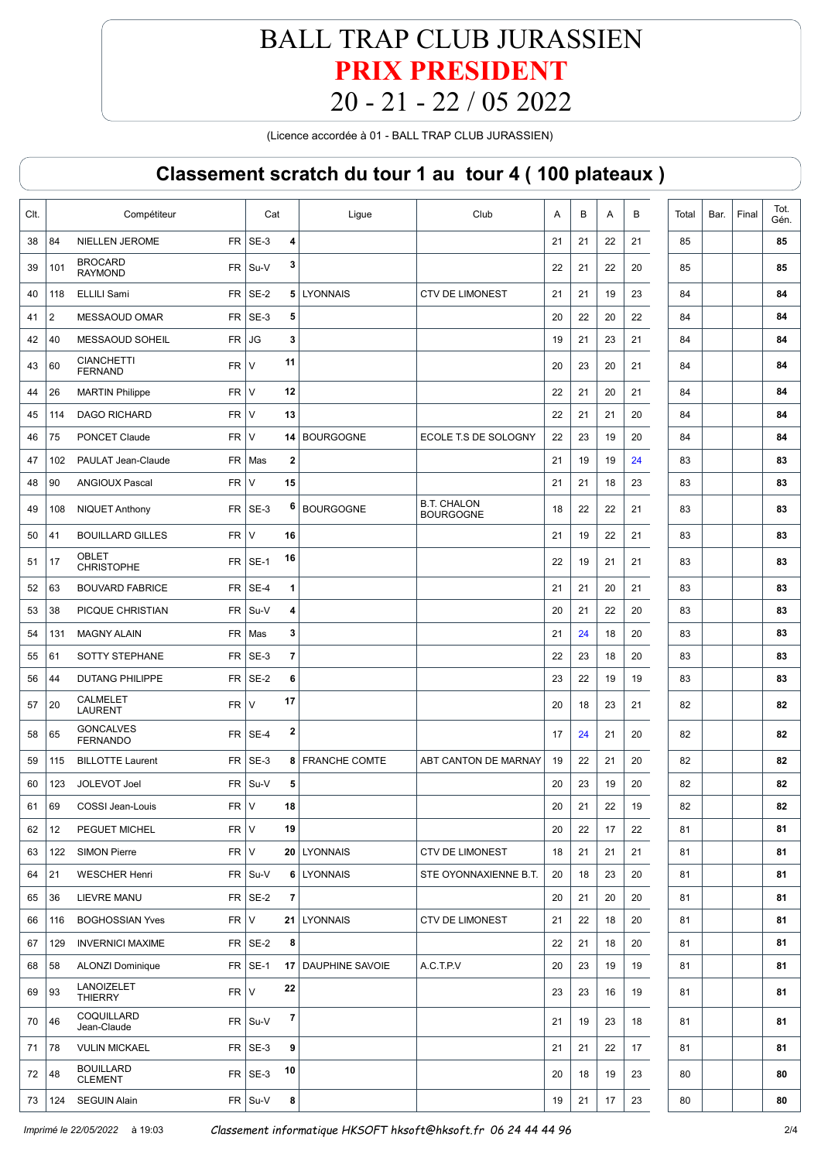(Licence accordée à 01 - BALL TRAP CLUB JURASSIEN)

| Clt. |     | Compétiteur                                      | Cat             | Ligue                   | Club                                   | Α      | B  | Α  | В  | Total | Bar. | Final | Tot.<br>Gén. |
|------|-----|--------------------------------------------------|-----------------|-------------------------|----------------------------------------|--------|----|----|----|-------|------|-------|--------------|
| 38   | 84  | <b>NIELLEN JEROME</b><br><b>FR</b>               | SE-3            | 4                       |                                        | 21     | 21 | 22 | 21 | 85    |      |       | 85           |
| 39   | 101 | <b>BROCARD</b><br>FR.<br><b>RAYMOND</b>          | Su-V            | 3                       |                                        | 22     | 21 | 22 | 20 | 85    |      |       | 85           |
| 40   | 118 | FR.<br><b>ELLILI Sami</b>                        | SE-2            | 5   LYONNAIS            | <b>CTV DE LIMONEST</b>                 | 21     | 21 | 19 | 23 | 84    |      |       | 84           |
| 41   | 2   | <b>FR</b><br>MESSAOUD OMAR                       | SE-3            | 5                       |                                        | 20     | 22 | 20 | 22 | 84    |      |       | 84           |
| 42   | 40  | <b>FR</b><br>MESSAOUD SOHEIL                     | JG              | 3                       |                                        | 19     | 21 | 23 | 21 | 84    |      |       | 84           |
| 43   | 60  | <b>CIANCHETTI</b><br><b>FR</b><br><b>FERNAND</b> | 11<br>$\vee$    |                         |                                        | 20     | 23 | 20 | 21 | 84    |      |       | 84           |
| 44   | 26  | <b>MARTIN Philippe</b><br>FR.                    | $\vee$<br>12    |                         |                                        | 22     | 21 | 20 | 21 | 84    |      |       | 84           |
| 45   | 114 | <b>FR</b><br><b>DAGO RICHARD</b>                 | $\vee$<br>13    |                         |                                        | 22     | 21 | 21 | 20 | 84    |      |       | 84           |
| 46   | 75  | PONCET Claude<br><b>FR</b>                       | $\vee$          | 14 BOURGOGNE            | ECOLE T.S DE SOLOGNY                   | 22     | 23 | 19 | 20 | 84    |      |       | 84           |
| 47   | 102 | FR  <br>PAULAT Jean-Claude                       | Mas             | $\overline{\mathbf{2}}$ |                                        | 21     | 19 | 19 | 24 | 83    |      |       | 83           |
| 48   | 90  | <b>FR</b><br><b>ANGIOUX Pascal</b>               | $\vee$<br>15    |                         |                                        | 21     | 21 | 18 | 23 | 83    |      |       | 83           |
| 49   | 108 | FR  <br><b>NIQUET Anthony</b>                    | SE-3            | 6<br><b>BOURGOGNE</b>   | <b>B.T. CHALON</b><br><b>BOURGOGNE</b> | 18     | 22 | 22 | 21 | 83    |      |       | 83           |
| 50   | 41  | <b>FR</b><br><b>BOUILLARD GILLES</b>             | $\vee$<br>16    |                         |                                        | 21     | 19 | 22 | 21 | 83    |      |       | 83           |
| 51   | 17  | <b>OBLET</b><br><b>FR</b><br><b>CHRISTOPHE</b>   | 16<br>$SE-1$    |                         |                                        | 22     | 19 | 21 | 21 | 83    |      |       | 83           |
| 52   | 63  | <b>FR</b><br><b>BOUVARD FABRICE</b>              | SE-4            | 1                       |                                        | 21     | 21 | 20 | 21 | 83    |      |       | 83           |
| 53   | 38  | FR.<br>PICQUE CHRISTIAN                          | Su-V            | 4                       |                                        | 20     | 21 | 22 | 20 | 83    |      |       | 83           |
| 54   | 131 | <b>MAGNY ALAIN</b><br><b>FR</b>                  | Mas             | 3                       |                                        | 21     | 24 | 18 | 20 | 83    |      |       | 83           |
| 55   | 61  | <b>SOTTY STEPHANE</b><br><b>FR</b>               | SE-3            | 7                       |                                        | 22     | 23 | 18 | 20 | 83    |      |       | 83           |
| 56   | 44  | <b>DUTANG PHILIPPE</b><br><b>FR</b>              | SE-2            | 6                       |                                        | 23     | 22 | 19 | 19 | 83    |      |       | 83           |
| 57   | 20  | <b>CALMELET</b><br><b>FR</b><br><b>LAURENT</b>   | 17<br>$\vee$    |                         |                                        | 20     | 18 | 23 | 21 | 82    |      |       | 82           |
| 58   | 65  | <b>GONCALVES</b><br><b>FR</b><br><b>FERNANDO</b> | SE-4            | 2                       |                                        | 17     | 24 | 21 | 20 | 82    |      |       | 82           |
| 59   | 115 | FR<br><b>BILLOTTE Laurent</b>                    | SE-3            | 8   FRANCHE COMTE       | ABT CANTON DE MARNAY                   | 19     | 22 | 21 | 20 | 82    |      |       | 82           |
| 60   | 123 | JOLEVOT Joel<br>FR                               | Su-V            | 5                       |                                        | 20     | 23 | 19 | 20 | 82    |      |       | 82           |
| 61   | 69  | FR V<br>COSSI Jean-Louis                         | ${\bf 18}$      |                         |                                        | $20\,$ | 21 | 22 | 19 | 82    |      |       | 82           |
| 62   | 12  | FR<br>PEGUET MICHEL                              | $\vee$<br>19    |                         |                                        | 20     | 22 | 17 | 22 | 81    |      |       | 81           |
| 63   | 122 | $FR$ V<br><b>SIMON Pierre</b>                    |                 | 20 LYONNAIS             | CTV DE LIMONEST                        | 18     | 21 | 21 | 21 | 81    |      |       | 81           |
| 64   | 21  | <b>WESCHER Henri</b>                             | $FR$ Su-V       | 6 LYONNAIS              | STE OYONNAXIENNE B.T.                  | 20     | 18 | 23 | 20 | 81    |      |       | 81           |
| 65   | 36  | LIEVRE MANU                                      | $FR$ SE-2       | $\overline{7}$          |                                        | 20     | 21 | 20 | 20 | 81    |      |       | 81           |
| 66   | 116 | FR<br><b>BOGHOSSIAN Yves</b>                     | $\mathsf{V}$    | 21 LYONNAIS             | <b>CTV DE LIMONEST</b>                 | 21     | 22 | 18 | 20 | 81    |      |       | 81           |
| 67   | 129 | <b>INVERNICI MAXIME</b>                          | $FR$ SE-2       | 8                       |                                        | 22     | 21 | 18 | 20 | 81    |      |       | 81           |
| 68   | 58  | <b>ALONZI Dominique</b>                          | $FR$ SE-1       | 17   DAUPHINE SAVOIE    | A.C.T.P.V                              | 20     | 23 | 19 | 19 | 81    |      |       | 81           |
| 69   | 93  | LANOIZELET<br>FR<br><b>THIERRY</b>               | 22<br>$\vee$    |                         |                                        | 23     | 23 | 16 | 19 | 81    |      |       | 81           |
| 70   | 46  | COQUILLARD<br>Jean-Claude                        | $FR$ Su-V       | 7                       |                                        | 21     | 19 | 23 | 18 | 81    |      |       | 81           |
| 71   | 78  | <b>VULIN MICKAEL</b>                             | $FR$ SE-3       | 9                       |                                        | 21     | 21 | 22 | 17 | 81    |      |       | 81           |
| 72   | 48  | <b>BOUILLARD</b><br><b>CLEMENT</b>               | 10<br>$FR$ SE-3 |                         |                                        | 20     | 18 | 19 | 23 | 80    |      |       | 80           |
| 73   | 124 | <b>SEGUIN Alain</b>                              | FR Su-V         | 8                       |                                        | 19     | 21 | 17 | 23 | 80    |      |       | 80           |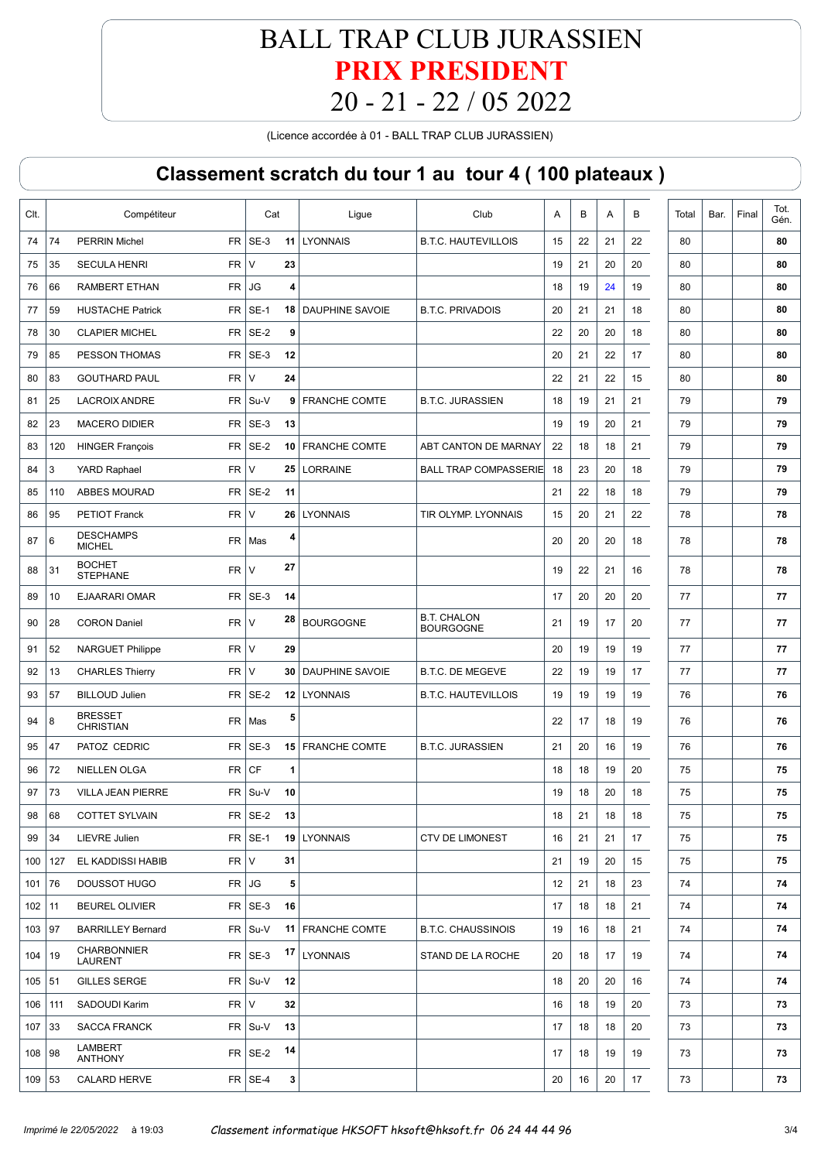(Licence accordée à 01 - BALL TRAP CLUB JURASSIEN)

| CIt.     |     | Compétiteur                                     | Cat       |    | Ligue                       | Club                                   | A  | B  | Α  | в  | Total | Bar. | Final | Tot.<br>Gén. |
|----------|-----|-------------------------------------------------|-----------|----|-----------------------------|----------------------------------------|----|----|----|----|-------|------|-------|--------------|
| 74       | 74  | <b>PERRIN Michel</b>                            | $FR$ SE-3 | 11 | <b>LYONNAIS</b>             | <b>B.T.C. HAUTEVILLOIS</b>             | 15 | 22 | 21 | 22 | 80    |      |       | 80           |
| 75       | 35  | <b>FR</b><br><b>SECULA HENRI</b>                | $\vee$    | 23 |                             |                                        | 19 | 21 | 20 | 20 | 80    |      |       | 80           |
| 76       | 66  | <b>FR</b><br><b>RAMBERT ETHAN</b>               | <b>JG</b> | 4  |                             |                                        | 18 | 19 | 24 | 19 | 80    |      |       | 80           |
| 77       | 59  | <b>HUSTACHE Patrick</b><br><b>FR</b>            | $SE-1$    |    | <b>18   DAUPHINE SAVOIE</b> | <b>B.T.C. PRIVADOIS</b>                | 20 | 21 | 21 | 18 | 80    |      |       | 80           |
| 78       | 30  | <b>CLAPIER MICHEL</b><br>FR.                    | SE-2      | 9  |                             |                                        | 22 | 20 | 20 | 18 | 80    |      |       | 80           |
| 79       | 85  | PESSON THOMAS<br><b>FR</b>                      | SE-3      | 12 |                             |                                        | 20 | 21 | 22 | 17 | 80    |      |       | 80           |
| 80       | 83  | <b>GOUTHARD PAUL</b><br><b>FR</b>               | $\vee$    | 24 |                             |                                        | 22 | 21 | 22 | 15 | 80    |      |       | 80           |
| 81       | 25  | <b>FR</b><br><b>LACROIX ANDRE</b>               | Su-V      |    | 9 FRANCHE COMTE             | <b>B.T.C. JURASSIEN</b>                | 18 | 19 | 21 | 21 | 79    |      |       | 79           |
| 82       | 23  | <b>MACERO DIDIER</b><br><b>FR</b>               | SE-3      | 13 |                             |                                        | 19 | 19 | 20 | 21 | 79    |      |       | 79           |
| 83       | 120 | <b>FR</b><br><b>HINGER François</b>             | SE-2      |    | 10 FRANCHE COMTE            | ABT CANTON DE MARNAY                   | 22 | 18 | 18 | 21 | 79    |      |       | 79           |
| 84       | 3   | <b>FR</b><br><b>YARD Raphael</b>                | $\vee$    | 25 | LORRAINE                    | <b>BALL TRAP COMPASSERIE</b>           | 18 | 23 | 20 | 18 | 79    |      |       | 79           |
| 85       | 110 | <b>ABBES MOURAD</b>                             | $FR$ SE-2 | 11 |                             |                                        | 21 | 22 | 18 | 18 | 79    |      |       | 79           |
| 86       | 95  | <b>FR</b><br><b>PETIOT Franck</b>               | $\vee$    | 26 | <b>LYONNAIS</b>             | TIR OLYMP. LYONNAIS                    | 15 | 20 | 21 | 22 | 78    |      |       | 78           |
| 87       | 6   | <b>DESCHAMPS</b><br><b>FR</b><br><b>MICHEL</b>  | Mas       | 4  |                             |                                        | 20 | 20 | 20 | 18 | 78    |      |       | 78           |
| 88       | 31  | <b>BOCHET</b><br><b>FR</b><br><b>STEPHANE</b>   | $\vee$    | 27 |                             |                                        | 19 | 22 | 21 | 16 | 78    |      |       | 78           |
| 89       | 10  | <b>EJAARARI OMAR</b>                            | $FR$ SE-3 | 14 |                             |                                        | 17 | 20 | 20 | 20 | 77    |      |       | 77           |
| 90       | 28  | <b>FR</b><br><b>CORON Daniel</b>                | $\vee$    | 28 | <b>BOURGOGNE</b>            | <b>B.T. CHALON</b><br><b>BOURGOGNE</b> | 21 | 19 | 17 | 20 | 77    |      |       | 77           |
| 91       | 52  | <b>FR</b><br>NARGUET Philippe                   | $\vee$    | 29 |                             |                                        | 20 | 19 | 19 | 19 | 77    |      |       | 77           |
| 92       | 13  | <b>FR</b><br><b>CHARLES Thierry</b>             | $\vee$    | 30 | <b>DAUPHINE SAVOIE</b>      | <b>B.T.C. DE MEGEVE</b>                | 22 | 19 | 19 | 17 | 77    |      |       | 77           |
| 93       | 57  | <b>FR</b><br><b>BILLOUD Julien</b>              | $SE-2$    |    | 12 LYONNAIS                 | <b>B.T.C. HAUTEVILLOIS</b>             | 19 | 19 | 19 | 19 | 76    |      |       | 76           |
| 94       | 8   | <b>BRESSET</b><br><b>FR</b><br><b>CHRISTIAN</b> | Mas       | 5  |                             |                                        | 22 | 17 | 18 | 19 | 76    |      |       | 76           |
| 95       | 47  | PATOZ CEDRIC<br>FR.                             | SE-3      |    | 15 FRANCHE COMTE            | <b>B.T.C. JURASSIEN</b>                | 21 | 20 | 16 | 19 | 76    |      |       | 76           |
| 96       | 72  | NIELLEN OLGA<br><b>FR</b>                       | CF        | 1  |                             |                                        | 18 | 18 | 19 | 20 | 75    |      |       | 75           |
| 97       | 73  | <b>VILLA JEAN PIERRE</b>                        | $FR$ Su-V | 10 |                             |                                        | 19 | 18 | 20 | 18 | 75    |      |       | 75           |
| 98       | 68  | <b>COTTET SYLVAIN</b>                           | $FR$ SE-2 | 13 |                             |                                        | 18 | 21 | 18 | 18 | 75    |      |       | 75           |
| 99       | 34  | LIEVRE Julien                                   | $FR$ SE-1 |    | 19 LYONNAIS                 | <b>CTV DE LIMONEST</b>                 | 16 | 21 | 21 | 17 | 75    |      |       | 75           |
| 100      | 127 | $FR$ V<br>EL KADDISSI HABIB                     |           | 31 |                             |                                        | 21 | 19 | 20 | 15 | 75    |      |       | 75           |
| 101      | 76  | DOUSSOT HUGO                                    | $FR$ JG   | 5  |                             |                                        | 12 | 21 | 18 | 23 | 74    |      |       | 74           |
| 102      | 11  | <b>BEUREL OLIVIER</b>                           | $FR$ SE-3 | 16 |                             |                                        | 17 | 18 | 18 | 21 | 74    |      |       | 74           |
| 103      | 97  | <b>BARRILLEY Bernard</b>                        | $FR$ Su-V |    | 11 FRANCHE COMTE            | <b>B.T.C. CHAUSSINOIS</b>              | 19 | 16 | 18 | 21 | 74    |      |       | 74           |
| 104      | 19  | <b>CHARBONNIER</b><br><b>LAURENT</b>            | $FR$ SE-3 | 17 | <b>LYONNAIS</b>             | STAND DE LA ROCHE                      | 20 | 18 | 17 | 19 | 74    |      |       | 74           |
| 105      | 51  | <b>GILLES SERGE</b>                             | $FR$ Su-V | 12 |                             |                                        | 18 | 20 | 20 | 16 | 74    |      |       | 74           |
| 106      | 111 | $FR$ V<br>SADOUDI Karim                         |           | 32 |                             |                                        | 16 | 18 | 19 | 20 | 73    |      |       | 73           |
| 107      | 33  | <b>SACCA FRANCK</b>                             | $FR$ Su-V | 13 |                             |                                        | 17 | 18 | 18 | 20 | 73    |      |       | 73           |
| 108      | 98  | LAMBERT<br><b>ANTHONY</b>                       | $FR$ SE-2 | 14 |                             |                                        | 17 | 18 | 19 | 19 | 73    |      |       | 73           |
| 109   53 |     | <b>CALARD HERVE</b>                             | $FR$ SE-4 | 3  |                             |                                        | 20 | 16 | 20 | 17 | 73    |      |       | 73           |